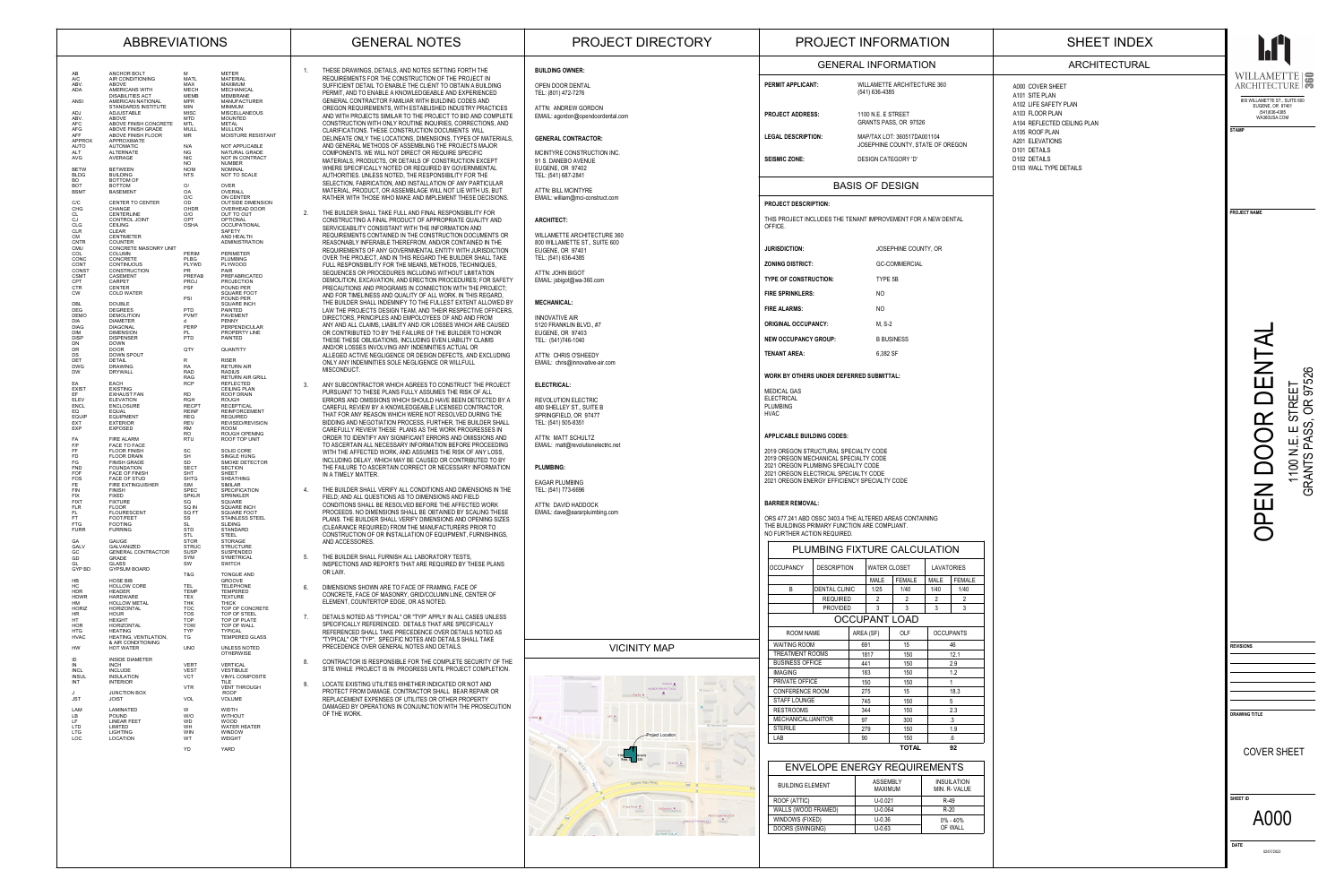46

| WAITING ROOM           | 691  | 15  |  |
|------------------------|------|-----|--|
| <b>TREATMENT ROOMS</b> | 1817 | 150 |  |
| <b>BUSINESS OFFICE</b> | 441  | 150 |  |
| <b>IMAGING</b>         | 183  | 150 |  |
| PRIVATE OFFICE         | 150  | 150 |  |
| <b>CONFERENCE ROOM</b> | 275  | 15  |  |
| <b>STAFF LOUNGE</b>    | 745  | 150 |  |
| <b>RESTROOMS</b>       | 344  | 150 |  |
| MECHANICAL/JANITOR     | 97   | 300 |  |
| <b>STERILE</b>         | 279  | 150 |  |
| LAB                    | 90   | 150 |  |

OCCUPANTS LAVATORIES MALE FEMALE 1/40 1/40 1/40 2 2 33

|                     | PLUMBING FIXTURE CALCULATION |  |                     |                      |                 |    |
|---------------------|------------------------------|--|---------------------|----------------------|-----------------|----|
| <b>OCCUPANCY</b>    | <b>DESCRIPTION</b>           |  | <b>WATER CLOSET</b> |                      | <b>LAVATORI</b> |    |
|                     |                              |  | <b>MALE</b>         | <b>FEMALE</b>        | <b>MALE</b>     | FI |
| B                   | <b>DENTAL CLINIC</b>         |  | 1/25                | 1/40                 | 1/40            |    |
|                     | <b>REQUIRED</b>              |  | $\overline{2}$      | $\overline{2}$       | $\overline{2}$  |    |
|                     | <b>PROVIDED</b>              |  | 3                   | 3                    | 3               |    |
|                     |                              |  |                     | <b>OCCUPANT LOAD</b> |                 |    |
| <b>ROOM NAME</b>    |                              |  | AREA (SF)           | <b>OLF</b>           | <b>OCCUPAN</b>  |    |
| <b>WAITING ROOM</b> |                              |  | 691                 | 15                   |                 | 46 |

12.1 2.9 1.2 118.3 5 2.3 .31.9 .6 **92**

**TOTAL**

OPEN DOOR DENTAL  $\blacktriangleleft$ DENT  $\circ$  $-52$ 1100 N.E. E STREET TREET<br>OR 97  $\mathbf{\Omega}$ ၴၯ ၯ  $\overline{z}$  or 1100<br>GRANTS  $\boldsymbol{Z}$  $\boxed{1}$ 

 $\Omega$ 

 $\bigcirc$ 

## ENVELOPE ENERGY REQUIREMENTS

| <b>BUILDING ELEMENT</b> | <b>ASSEMBLY</b><br><b>MAXIMUM</b> |  |
|-------------------------|-----------------------------------|--|
| ROOF (ATTIC)            | $U - 0.021$                       |  |
| WALLS (WOOD FRAMED)     | $U - 0.064$                       |  |
| WINDOWS (FIXED)         | $U - 0.36$                        |  |
| DOORS (SWINGING)        | $U - 0.63$                        |  |
|                         |                                   |  |

INSUILATION MIN. R- VALUE R-49 R-20 0% - 40%OF WALL

GRANTS PASS, OR 97526



**PROJECT NAME**

| <b>REVISIONS</b>          |  |
|---------------------------|--|
|                           |  |
|                           |  |
|                           |  |
|                           |  |
|                           |  |
| <b>DRAWING TITLE</b>      |  |
|                           |  |
|                           |  |
| <b>COVER SHEET</b>        |  |
|                           |  |
|                           |  |
|                           |  |
| <b>SHEET ID</b>           |  |
| A000                      |  |
|                           |  |
|                           |  |
| <b>DATE</b><br>02/07/2022 |  |
|                           |  |

## ARCHITECTURAL

A000 COVER SHEET A101 SITE PLAN A102 LIFE SAFETY PLANA103 FLOOR PLANA104 REFLECTED CEILING PLAN A105 ROOF PLAN A201 ELEVATIONS D101 DETAILS D102 DETAILS D103 WALL TYPE DETAILS

**PERMIT APPLICANT:**

 WILLAMETTE ARCHITECTURE 360 (541) 636-4385

**PROJECT ADDRESS:**

**LEGAL DESCRIPTION:**

 1100 N.E. E STREETGRANTS PASS, OR 97526 MAP/TAX LOT: 360517DA001104 JOSEPHINE COUNTY, STATE OF OREGON

**SEISMIC ZONE:**

DESIGN CATEGORY 'D'

### **PROJECT DESCRIPTION:**

THIS PROJECT INCLUDES THE TENANT IMPROVEMENT FOR A NEW DENTAL OFFICE.

| <b>JURISDICTION:</b>         | JOSEPHINE COUNTY, OR |
|------------------------------|----------------------|
| <b>ZONING DISTRICT:</b>      | <b>GC-COMMERCIAL</b> |
| <b>TYPE OF CONSTRUCTION:</b> | TYPE 5B              |
| <b>FIRE SPRINKLERS:</b>      | N <sub>O</sub>       |
| <b>FIRE ALARMS:</b>          | NO                   |
| <b>ORIGINAL OCCUPANCY:</b>   | M, S-2               |
| <b>NEW OCCUPANCY GROUP:</b>  | <b>B BUSINESS</b>    |
| <b>TENANT AREA:</b>          | 6,382 SF             |

**WORK BY OTHERS UNDER DEFERRED SUBMITTAL:**

MEDICAL GAS ELECTRICAL PLUMBING HVAC

#### **APPLICABLE BUILDING CODES:**

2019 OREGON STRUCTURAL SPECIALTY CODE

2019 OREGON MECHANICAL SPECIALTY CODE

2021 OREGON PLUMBING SPECIALTY CODE

2021 OREGON ELECTRICAL SPECIALTY CODE 2021 OREGON ENERGY EFFICIENCY SPECIALTY CODE

#### **BARRIER REMOVAL:**

ORS 477.241 ABD OSSC 3403.4 THE ALTERED AREAS CONTAINING THE BUILDINGS PRIMARY FUNCTION ARE COMPLIANT. NO FURTHER ACTION REQUIRED.

BASIS OF DESIGN

## ABBREVIATIONS

## SHEET INDEX

#### GENERAL INFORMATION**BUILDING OWNER:**

OPEN DOOR DENTAL TEL: (801) 472-7276

ATTN: ANDREW GORDON EMAIL: agordon@opendoordental.com

#### **GENERAL CONTRACTOR:**

MCINTYRE CONSTRUCTION INC. 91 S. DANEBO AVENUE EUGENE, OR 97402 TEL: (541) 687-2841

ATTN: BILL MCINTYRE EMAIL: william@mci-construct.com

#### **ARCHITECT:**

WILLAMETTE ARCHITECTURE 360 800 WILLAMETTE ST., SUITE 600 EUGENE, OR 97401 TEL: (541) 636-4385

ATTN: JOHN BIGOT EMAIL: jsbigot@wa-360.com

#### **MECHANICAL:**

INNOVATIVE AIR 5120 FRANKLIN BLVD., #7 EUGENE, OR 97403 TEL: (541)746-1040

ATTN: CHRIS O'SHEEDY EMAIL: chris@innovative-air.com

#### **ELECTRICAL:**

REVOLUTION ELECTRIC 480 SHELLEY ST., SUITE B SPRINGFIELD, OR 97477 TEL: (541) 505-8351

ATTN: MATT SCHULTZEMAIL: matt@revolutionelectric.net

#### **PLUMBING:**

EAGAR PLUMBING TEL: (541) 773-6696

ATTN: DAVID HADDOCKEMAIL: dave@eararpluimbing.com

1.

 THESE DRAWINGS, DETAILS, AND NOTES SETTING FORTH THE REQUIREMENTS FOR THE CONSTRUCTION OF THE PROJECT IN SUFFICIENT DETAIL TO ENABLE THE CLIENT TO OBTAIN A BUILDING PERMIT, AND TO ENABLE A KNOWLEDGEABLE AND EXPERIENCED GENERAL CONTRACTOR FAMILIAR WITH BUILDING CODES AND OREGON REQUIREMENTS, WITH ESTABLISHED INDUSTRY PRACTICES AND WITH PROJECTS SIMILAR TO THE PROJECT TO BID AND COMPLETE CONSTRUCTION WITH ONLY ROUTINE INQUIRIES, CORRECTIONS, AND CLARIFICATIONS. THESE CONSTRUCTION DOCUMENTS WILL DELINEATE ONLY THE LOCATIONS, DIMENSIONS, TYPES OF MATERIALS, AND GENERAL METHODS OF ASSEMBLING THE PROJECTS MAJOR COMPONENTS. WE WILL NOT DIRECT OR REQUIRE SPECIFIC MATERIALS, PRODUCTS, OR DETAILS OF CONSTRUCTION EXCEPT WHERE SPECIFICALLY NOTED OR REQUIRED BY GOVERNMENTAL AUTHORITIES. UNLESS NOTED, THE RESPONSIBILITY FOR THE SELECTION, FABRICATION, AND INSTALLATION OF ANY PARTICULAR MATERIAL, PRODUCT, OR ASSEMBLAGE WILL NOT LIE WITH US, BUT RATHER WITH THOSE WHO MAKE AND IMPLEMENT THESE DECISIONS.

2.



# GENERAL NOTES THE PROJECT DIRECTORY THE PROJECT INFORMATION

- THE BUILDER SHALL TAKE FULL AND FINAL RESPONSIBILITY FOR CONSTRUCTING A FINAL PRODUCT OF APPROPRIATE QUALITY AND SERVICEABILITY CONSISTANT WITH THE INFORMATION AND REQUIREMENTS CONTAINED IN THE CONSTRUCTION DOCUMENTS OR REASONABLY INFERABLE THEREFROM, AND/OR CONTAINED IN THE REQUIREMENTS OF ANY GOVERNMENTAL ENTITY WITH JURISDICTION OVER THE PROJECT, AND IN THIS REGARD THE BUILDER SHALL TAKE FULL RESPONSIBILITY FOR THE MEANS, METHODS, TECHNIQUES, SEQUENCES OR PROCEDURES INCLUDING WITHOUT LIMITATION DEMOLITION, EXCAVATION, AND ERECTION PROCEDURES; FOR SAFETY PRECAUTIONS AND PROGRAMS IN CONNECTION WITH THE PROJECT; AND FOR TIMELINESS AND QUALITY OF ALL WORK. IN THIS REGARD, THE BUILDER SHALL INDEMNIFY TO THE FULLEST EXTENT ALLOWED BY LAW THE PROJECTS DESIGN TEAM, AND THEIR RESPECTIVE OFFICERS, DIRECTORS, PRINCIPLES AND EMPOLOYEES OF AND AND FROM ANY AND ALL CLAIMS, LIABILITY AND /OR LOSSES WHICH ARE CAUSED OR CONTRIBUTED TO BY THE FAILURE OF THE BUILDER TO HONOR THESE THESE OBLIGATIONS, INCLUDING EVEN LIABILITY CLAIMS AND/OR LOSSES INVOLVING ANY INDEMNITIES ACTUAL OR ALLEGED ACTIVE NEGLIGENCE OR DESIGN DEFECTS, AND EXCLUDING ONLY ANY INDEMNITIES SOLE NEGLIGENCE OR WILLFULL MISCONDUCT.
- 3. ANY SUBCONTRACTOR WHICH AGREES TO CONSTRUCT THE PROJECT PURSUANT TO THESE PLANS FULLY ASSUMES THE RISK OF ALL ERRORS AND OMISSIONS WHICH SHOULD HAVE BEEN DETECTED BY A CAREFUL REVIEW BY A KNOWLEDGEABLE LICENSED CONTRACTOR, THAT FOR ANY REASON WHICH WERE NOT RESOLVED DURING THE BIDDING AND NEGOTIATION PROCESS, FURTHER, THE BUILDER SHALL CAREFULLY REVIEW THESE PLANS AS THE WORK PROGRESSES IN ORDER TO IDENTIFY ANY SIGNIFICANT ERRORS AND OMISSIONS AND TO ASCERTAIN ALL NECESSARY INFORMATION BEFORE PROCEEDING WITH THE AFFECTED WORK, AND ASSUMES THE RISK OF ANY LOSS, INCLUDING DELAY, WHICH MAY BE CAUSED OR CONTRIBUTED TO BY THE FAILURE TO ASCERTAIN CORRECT OR NECESSARY INFORMATION IN A TIMELY MATTER.
- 4. THE BUILDER SHALL VERIFY ALL CONDITIONS AND DIMENSIONS IN THE FIELD; AND ALL QUESTIONS AS TO DIMENSIONS AND FIELD CONDITIONS SHALL BE RESOLVED BEFORE THE AFFECTED WORK PROCEEDS. NO DIMENSIONS SHALL BE OBTAINED BY SCALING THESE PLANS. THE BUILDER SHALL VERIFY DIMENSIONS AND OPENING SIZES (CLEARANCE REQUIRED) FROM THE MANUFACTURERS PRIOR TO CONSTRUCTION OF OR INSTALLATION OF EQUIPMENT, FURNISHINGS, AND ACCESSORES.
- 5. THE BUILDER SHALL FURNISH ALL LABORATORY TESTS, INSPECTIONS AND REPORTS THAT ARE REQUIRED BY THESE PLANS OR LAW.
- 6. DIMENSIONS SHOWN ARE TO FACE OF FRAMING, FACE OF CONCRETE, FACE OF MASONRY, GRID/COLUMN LINE, CENTER OF ELEMENT, COUNTERTOP EDGE, OR AS NOTED.
- 7. DETAILS NOTED AS "TYPICAL" OR "TYP" APPLY IN ALL CASES UNLESS SPECIFICALLY REFERENCED. DETAILS THAT ARE SPECIFICALLY REFERENCED SHALL TAKE PRECEDENCE OVER DETAILS NOTED AS "TYPICAL" OR "TYP". SPECIFIC NOTES AND DETAILS SHALL TAKE PRECEDENCE OVER GENERAL NOTES AND DETAILS.
- 8. CONTRACTOR IS RESPONSIBLE FOR THE COMPLETE SECURITY OF THE SITE WHILE PROJECT IS IN PROGRESS UNTIL PROJECT COMPLETION.
- 9. LOCATE EXISTING UTILITIES WHETHER INDICATED OR NOT AND PROTECT FROM DAMAGE. CONTRACTOR SHALL BEAR REPAIR OR REPLACEMENT EXPENSES OF UTILITES OR OTHER PROPERTY DAMAGED BY OPERATIONS IN CONJUNCTION WITH THE PROSECUTION OF THE WORK.

| AВ<br>A/C<br>ABV.<br>ADA<br>ANSI<br>ADJ<br>ABV.<br>AFC<br>AFG<br>AFF<br>APPROX<br>AUTO<br>ALT<br>AVG                           | ANCHOR BOLT<br>AIR CONDITIONING<br><b>ABOVE</b><br>AMERICANS WITH<br><b>DISABILITIES ACT</b><br>AMERICAN NATIONAL<br>STANDARDS INSTITUTE<br><b>ADJUSTABLE</b><br><b>ABOVE</b><br>ABOVE FINISH CONCRETE<br>ABOVE FINISH GRADE<br>ABOVE FINISH FLOOR<br>ABOVE FINISH FLOOR<br><b>APPROXIMATE</b><br><b>AUTOMATIC</b><br><b>ALTERNATE</b><br>AVERAGE | м<br><b>MATL</b><br>MAX<br><b>MECH</b><br><b>MEMB</b><br><b>MFR</b><br><b>MIN</b><br><b>MISC</b><br><b>MTD</b><br>MTL<br><b>MULL</b><br><b>MR</b><br>N/A<br><b>NG</b><br><b>NIC</b>          |
|--------------------------------------------------------------------------------------------------------------------------------|---------------------------------------------------------------------------------------------------------------------------------------------------------------------------------------------------------------------------------------------------------------------------------------------------------------------------------------------------|----------------------------------------------------------------------------------------------------------------------------------------------------------------------------------------------|
| BETW<br>BLDG<br>BO<br>BOT<br>BSMT<br>C/C<br>CHG<br>CL<br>CJ<br><b>CLG</b><br>CLR                                               | <b>BETWEEN</b><br><b>BUILDING</b><br><b>BOTTOM OF</b><br><b>BOTTOM</b><br><b>BASEMENT</b><br>CENTER TO CENTER<br><b>CHANGE</b><br><b>CENTERLINE</b><br>CONTROL JOINT<br><b>CEILING</b><br><b>CLEAR</b>                                                                                                                                            | NO.<br><b>NOM</b><br><b>NTS</b><br>O/<br><b>OA</b><br>O/C<br>OD<br><b>OHDR</b><br>O/O<br><b>OPT</b><br><b>OSHA</b>                                                                           |
| CМ<br>CNTR<br>CMU<br>COL<br>CONC<br>CONT<br>CONST<br>CSMT<br><b>CPT</b><br>CTR<br><b>CW</b>                                    | <b>CENTIMETER</b><br><b>COUNTER</b><br><b>CONCRETE MASONRY UNIT</b><br><b>COLUMN</b><br><b>CONCRETE</b><br><b>CONTINUOUS</b><br>CONSTRUCTION<br><b>CASEMENT</b><br><b>CARPET</b><br><b>CENTER</b><br><b>COLD WATER</b>                                                                                                                            | <b>PERIM</b><br><b>PLBG</b><br><b>PLYWD</b><br><b>PR</b><br><b>PREFAB</b><br>PROJ<br><b>PSF</b><br>PSI                                                                                       |
| DBL<br>DEG<br>DEMO<br>Dia<br>DIAG<br>DIM<br>DISP<br>DN<br>DR<br>DS<br><b>DET</b><br>DWG<br>DW                                  | <b>DOUBLE</b><br><b>DEGREES</b><br><b>DEMOLITION</b><br><b>DIAMETER</b><br><b>DIAGONAL</b><br><b>DIMENSION</b><br><b>DISPENSER</b><br><b>DOWN</b><br><b>DOOR</b><br>DOWN SPOUT<br><b>DETAIL</b><br><b>DRAWING</b><br><b>DRYWALL</b>                                                                                                               | PTD<br><b>PVMT</b><br>d<br><b>PERP</b><br>PL<br><b>PTD</b><br>QTY<br>R<br><b>RA</b><br><b>RAD</b><br><b>RAG</b>                                                                              |
| ЕA<br>EXIST<br>EF<br>ELEV<br><b>ENCL</b><br>EQ<br>EQUIP<br>EXT<br>EXP                                                          | <b>EACH</b><br><b>EXISTING</b><br><b>EXHAUST FAN</b><br><b>ELEVATION</b><br><b>ENCLOSURE</b><br><b>EQUAL</b><br><b>EQUIPMENT</b><br><b>EXTERIOR</b><br><b>EXPOSED</b>                                                                                                                                                                             | <b>RCP</b><br><b>RD</b><br><b>RGH</b><br><b>RECPT</b><br><b>REINF</b><br><b>REQ</b><br><b>REV</b><br><b>RM</b><br>RO.                                                                        |
| FA<br>F/F<br>FF<br>FD<br>FG<br>FND<br>FOF<br>FOS<br>FE.<br><b>FIN</b><br><b>FIX</b><br>FIXT<br>FLR<br>FL<br>FT.<br>FTG<br>FURR | <b>FIRE ALARM</b><br><b>FACE TO FACE</b><br><b>FLOOR FINISH</b><br><b>FLOOR DRAIN</b><br><b>FINISH GRADE</b><br><b>FOUNDATION</b><br>FACE OF FINISH<br>FACE OF STUD<br>FIRE EXTINGUISHER<br><b>FINISH</b><br><b>FIXED</b><br><b>FIXTURE</b><br><b>FLOOR</b><br><b>FLOURESCENT</b><br>FOOT/FEET<br><b>FOOTING</b><br><b>FURRING</b>                | <b>RTU</b><br>SC<br>SH<br><b>SD</b><br><b>SECT</b><br><b>SHT</b><br><b>SHTG</b><br><b>SIM</b><br><b>SPEC</b><br><b>SPKLR</b><br>SQ<br>SQ IN<br>SQ FT<br>SS<br><b>SL</b><br><b>STD</b><br>STL |
| GA<br><b>GALV</b><br>GC<br>GD<br>GL<br>GYP BD                                                                                  | <b>GAUGE</b><br><b>GALVANIZED</b><br><b>GENERAL CONTRACTOR</b><br>GRADE<br><b>GLASS</b><br><b>GYPSUM BOARD</b>                                                                                                                                                                                                                                    | <b>STOR</b><br><b>STRUC</b><br><b>SUSP</b><br><b>SYM</b><br><b>SW</b><br>T&G                                                                                                                 |
| HB<br>НC<br>HDR<br>HDWR<br>HМ<br><b>HORIZ</b><br>НR<br>НT<br>HOR<br>HTG<br><b>HVAC</b><br>HW                                   | <b>HOSE BIB</b><br><b>HOLLOW CORE</b><br><b>HEADER</b><br><b>HARDWARE</b><br><b>HOLLOW METAL</b><br><b>HORIZONTAL</b><br><b>HOUR</b><br><b>HEIGHT</b><br><b>HORIZONTAL</b><br><b>HEATING</b><br>HEATING, VENTILATION,<br>& AIR CONDITIONING<br><b>HOT WATER</b>                                                                                   | <b>TEL</b><br><b>TEMP</b><br><b>TEX</b><br><b>THK</b><br><b>TOC</b><br><b>TOS</b><br><b>TOP</b><br><b>TOW</b><br><b>TYP</b><br>TG<br><b>UNO</b>                                              |
| ID<br>IN<br><b>INCL</b><br>INSUL<br><b>INT</b>                                                                                 | <b>INSIDE DIAMETER</b><br><b>INCH</b><br><b>INCLUDE</b><br><b>INSULATION</b><br><b>INTERIOR</b>                                                                                                                                                                                                                                                   | <b>VERT</b><br><b>VEST</b><br><b>VCT</b><br><b>VTR</b>                                                                                                                                       |
| J<br>JST                                                                                                                       | <b>JUNCTION BOX</b><br><b>JOIST</b>                                                                                                                                                                                                                                                                                                               | <b>VOL</b>                                                                                                                                                                                   |
| LAM<br>LВ<br>LF<br>LTD<br>LTG<br>LOC                                                                                           | <b>LAMINATED</b><br><b>POUND</b><br><b>LINEAR FEET</b><br><b>LIMITED</b><br><b>LIGHTING</b><br><b>LOCATION</b>                                                                                                                                                                                                                                    | W<br>W/O<br>WD.<br><b>WH</b><br><b>WIN</b><br>WT.                                                                                                                                            |
|                                                                                                                                |                                                                                                                                                                                                                                                                                                                                                   | YD                                                                                                                                                                                           |

| м<br>MATL<br>MAX<br>MECH<br>МЕМВ<br>MFR<br>MIN<br>MISC<br>MTD<br>MTL<br>MULL<br>МR                                                                                                | METER<br><b>MATERIAL</b><br><b>MAXIMUM</b><br><b>MECHANICAL</b><br><b>MEMBRANE</b><br><b>MANUFACTURER</b><br><b>MINIMUM</b><br><b>MISCELLANEOUS</b><br><b>MOUNTED</b><br><b>METAL</b><br><b>MULLION</b><br><b>MOISTURE RESISTANT</b>                                                                                                                                                             |
|-----------------------------------------------------------------------------------------------------------------------------------------------------------------------------------|--------------------------------------------------------------------------------------------------------------------------------------------------------------------------------------------------------------------------------------------------------------------------------------------------------------------------------------------------------------------------------------------------|
| N/A<br>ΝG<br><b>NIC</b><br>NO.<br>NOM<br><b>NTS</b>                                                                                                                               | NOT APPLICABLE<br><b>NATURAL GRADE</b><br>NOT IN CONTRACT<br><b>NUMBER</b><br><b>NOMINAL</b><br><b>NOT TO SCALE</b>                                                                                                                                                                                                                                                                              |
| O/<br>ОA<br>O/C<br>OD<br>OHDR<br>O/O<br>OPT<br>OSHA                                                                                                                               | <b>OVER</b><br><b>OVERALL</b><br>ON CENTER<br><b>OUTSIDE DIMENSION</b><br><b>OVERHEAD DOOR</b><br><b>OUT TO OUT</b><br><b>OPTIONAL</b><br><b>OCCUPATIONAL</b><br>SAFETY<br><b>AND HEALTH</b><br><b>ADMINISTRATION</b>                                                                                                                                                                            |
| PERIM<br>PLBG<br>PLYWD<br>PR<br>PREFAB<br>PROJ<br>PSF<br>PSI<br>PTD<br><b>PVMT</b><br>ď<br>PERP<br>PL<br><b>PTD</b><br>QTY                                                        | <b>PERIMETER</b><br><b>PLUMBING</b><br>PLYWOOD<br><b>PAIR</b><br><b>PREFABRICATED</b><br><b>PROJECTION</b><br>POUND PER<br><b>SQUARE FOOT</b><br>POUND PER<br><b>SQUARE INCH</b><br><b>PAINTED</b><br><b>PAILLE</b><br>PAVEMENT<br><b>PENNY</b><br>PERPENDICULAR<br>PROPERTY LINE<br><b>PAINTED</b><br><b>QUANTITY</b>                                                                           |
| R.<br>RA<br>RAD<br>RAG<br><b>RCP</b><br>RD<br>RGH<br>RECPT<br>REINF<br><b>REQ</b><br>REV<br>RM<br>RO<br>RTU                                                                       | <b>RISER</b><br><b>RETURN AIR</b><br><b>RADIUS</b><br><b>RETURN AIR GRILL</b><br><b>REFLECTED</b><br><b>CEILING PLAN</b><br><b>ROOF DRAIN</b><br><b>ROUGH</b><br><b>RECEPTICAL</b><br><b>REINFORCEMENT</b><br><b>REQUIRED</b><br><b>REVISED/REVISION</b><br>ROOM<br><b>ROUGH OPENING</b><br><b>ROOF TOP UNIT</b>                                                                                 |
| SC<br>SН<br>SD<br>SECT<br><b>SHT</b><br>SHTG<br>SIM<br><b>SPEC</b><br>SPKLR<br>SQ<br>SQ IN<br>SQ FT<br>SS<br>SL<br>STD<br>STL<br><b>STOR</b><br><b>STRUC</b><br>SUSP<br>SYM<br>SW | <b>SOLID CORE</b><br>SINGLE HUNG<br><b>SMOKE DETECTOR</b><br><b>SECTION</b><br><b>SHEET</b><br><b>SHEATHING</b><br><b>SIMILAR</b><br><b>SPECIFICATION</b><br>SPRINKLER<br>SQUARE<br>SQUARE INCH<br>שעטאיז.<br>SQUARE FOOT<br>הרביניינט<br><b>STAINLESS STEEL</b><br>SLIDING<br>STANDARD<br><b>STEEL</b><br><b>STORAGE</b><br><b>STRUCTURE</b><br>SUSPENDED<br><b>SYMETRICAL</b><br><b>SWITCH</b> |
| T&G<br>TEL<br>TEMP<br>TEX<br>THK<br>TOC<br>TOS<br>TOP<br><b>TOW</b><br>TYP.<br>TG                                                                                                 | <b>TONGUE AND</b><br><b>GROOVE</b><br><b>TELEPHONE</b><br><b>TEMPERED</b><br><b>TEXTURE</b><br><b>THICK</b><br><b>TOP OF CONCRETE</b><br>TOP OF STEEL<br><b>TOP OF PLATE</b><br><b>TOP OF WALL</b><br><b>TYPICAL</b><br><b>TEMPERED GLASS</b>                                                                                                                                                    |
| UNO<br>VERT                                                                                                                                                                       | UNLESS NOTED<br><b>OTHERWISE</b><br><b>VERTICAL</b>                                                                                                                                                                                                                                                                                                                                              |
| <b>VEST</b><br><b>VCT</b><br><b>VTR</b><br>VOL                                                                                                                                    | <b>VESTIBULE</b><br><b>VINYL COMPOSITE</b><br>TILE<br><b>VENT THROUGH</b><br><b>ROOF</b><br><b>VOLUME</b>                                                                                                                                                                                                                                                                                        |
| W<br>W/O<br>WD<br>WН<br>WIN<br>WT                                                                                                                                                 | <b>WIDTH</b><br><b>WITHOUT</b><br><b>WOOD</b><br><b>WATER HEATER</b><br><b>WINDOW</b><br><b>WEIGHT</b>                                                                                                                                                                                                                                                                                           |
| YD                                                                                                                                                                                | YARD                                                                                                                                                                                                                                                                                                                                                                                             |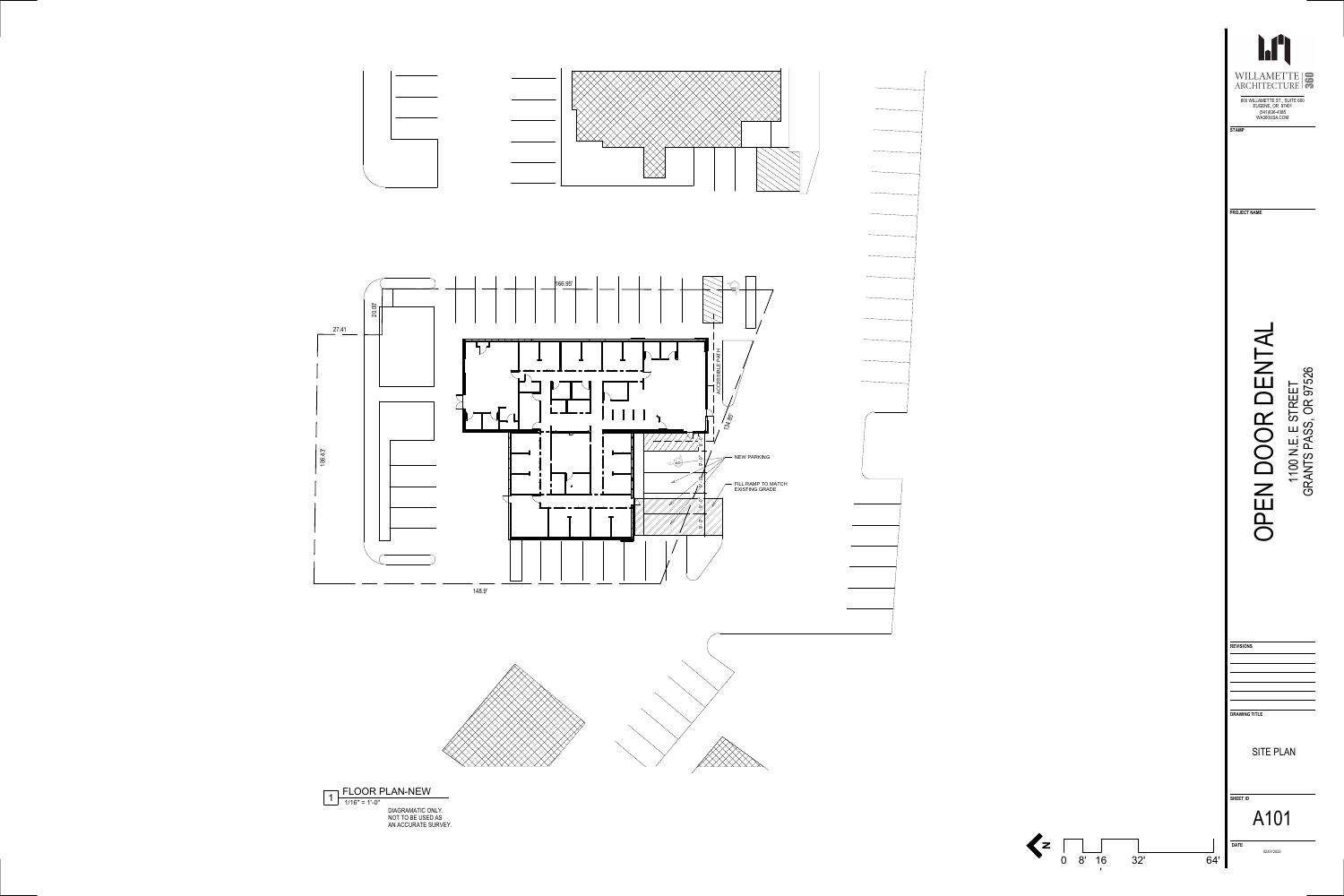



**N**

 $\sim 1$ 

0 8' 16 32' '

|     | <b>STAMP</b>            | <b>Ary</b><br>WILLAMETTE<br>800 WILLAMETTE ST., SUITE 600<br>EUGENE, OR 97401<br>(541) 636-4385<br>WA360USA.COM | 360                                    |
|-----|-------------------------|-----------------------------------------------------------------------------------------------------------------|----------------------------------------|
|     | <b>PROJECT NAME</b>     |                                                                                                                 |                                        |
|     |                         |                                                                                                                 | NTS PASS, OR 97526<br>00 N.E. E STREET |
|     |                         |                                                                                                                 |                                        |
|     | <b>REVISIONS</b>        |                                                                                                                 |                                        |
|     | <b>DRAWING TITLE</b>    |                                                                                                                 |                                        |
|     |                         | <b>SITE PLAN</b>                                                                                                |                                        |
|     | SHEET ID<br><b>DATE</b> | A101                                                                                                            |                                        |
| 64' |                         | 02/07/2022                                                                                                      |                                        |



DIAGRAMATIC ONLY. NOT TO BE USED AS AN ACCURATE SURVEY.

f KARA <u>XXXXXXXXX</u>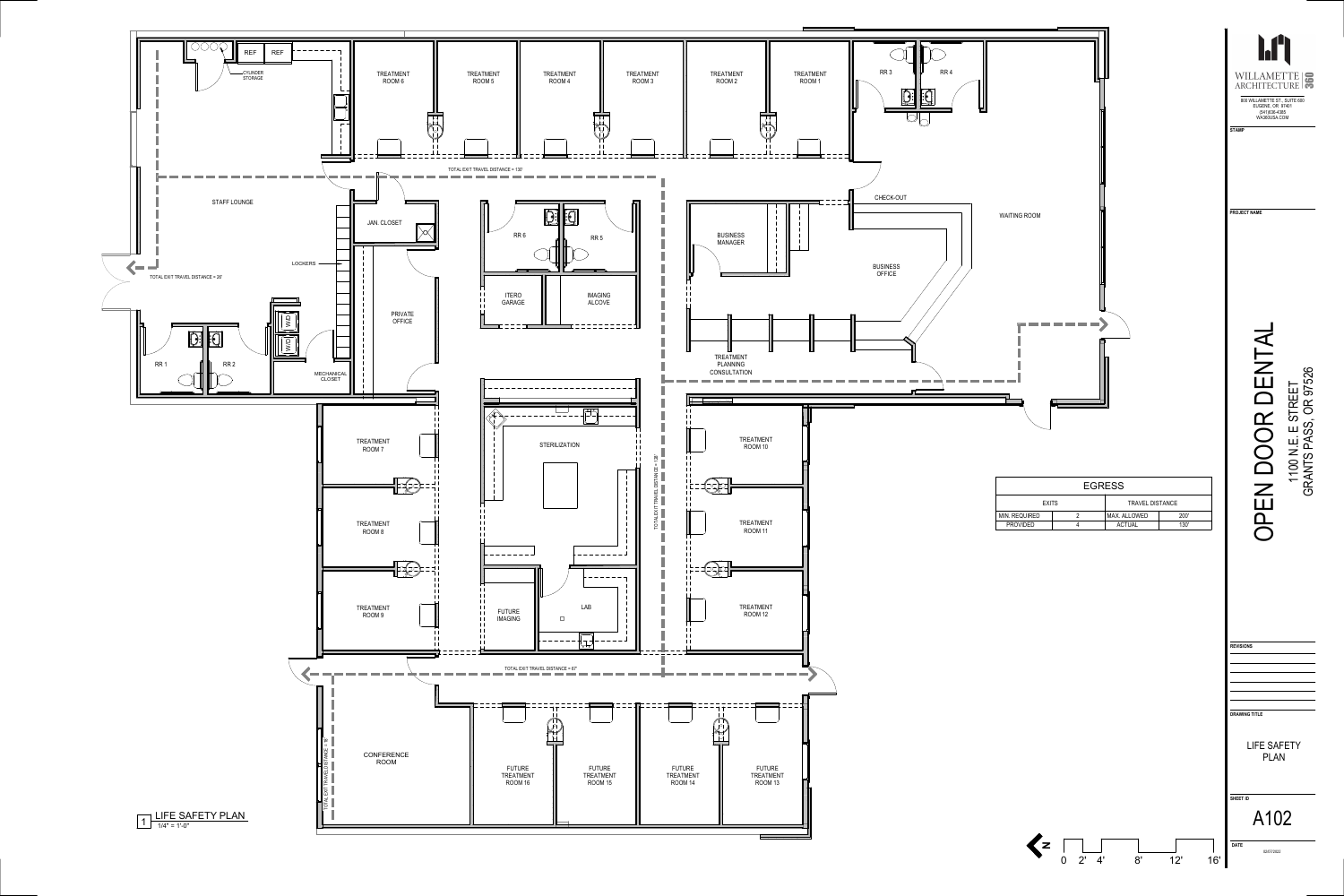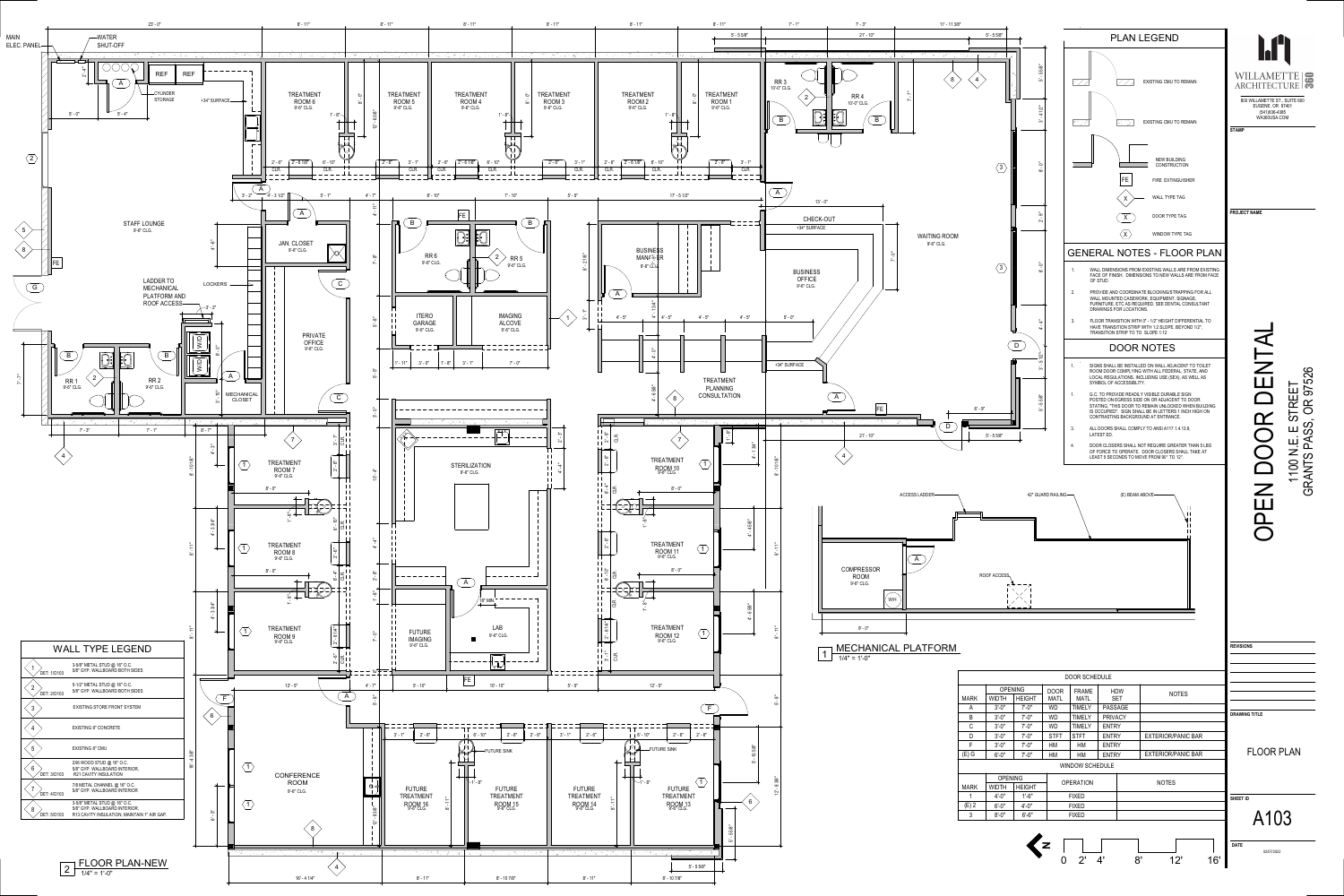

| <b>FLOOR PLAI</b> |  |  |
|-------------------|--|--|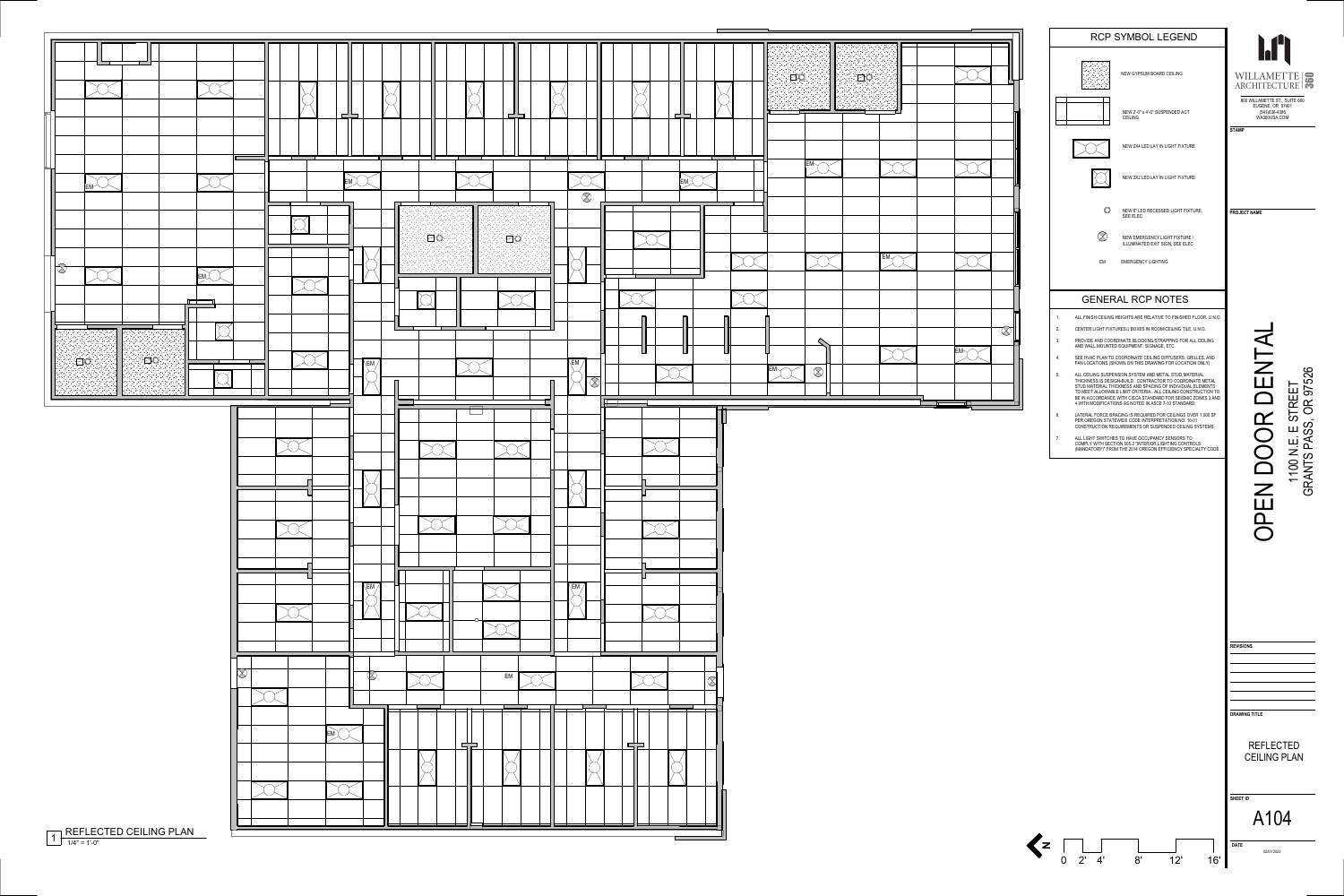

# RCP SYMBOL LEGEND NEW GYPSUM BOARD CEILING NEW 2'-0" x 4'-0" SUSPENDED ACT CEILING NEW 2X4 LED LAY IN LIGHT FIXTURE NEW 2X2 LED LAY IN LIGHT FIXTURE  $\circledcirc$ NEW 6" LED RECESSED LIGHT FIXTURE, SEE ELEC  $\bigotimes$ NEW EMERGENCY LIGHT FIXTURE / ILLUMINATED EXIT SIGN, SEE ELEC EMERGENCY LIGHTING EMGENERAL RCP NOTES 1. ALL FINISH CEILING HEIGHTS ARE RELATIVE TO FINISHED FLOOR, U.N.O. 2. CENTER LIGHT FIXTURES/J BOXES IN ROOM/CEILING TILE, U.N.O.

OPEN DOOR DENTAL يسدد NENTAL 1100 N.E. E STREET<br>GRANTS PASS, OR 97526 GRANTS PASS, OR 97526 1100 N.E. E STREET  $\alpha$ OO **DENDE** 

# **TERR** WILLAMETTE 800 WILLAMETTE ST., SUITE 600 EUGENE, OR 97401 (541)636-4385 WA360USA.COM **STAMP**



- 
- 3.PROVIDE AND COORDINATE BLOCKING/STRAPPING FOR ALL CEILING
- AND WALL MOUNTED EQUIPMENT, SIGNAGE, ETC.
- 4. SEE HVAC PLAN TO COORDINATE CEILING DIFFUSERS, GRILLES, AND FAN LOCATIONS (SHOWN ON THIS DRAWING FOR LOCATION ONLY)
- 5. ALL CEILING SUSPENSION SYSTEM AND METAL STUD MATERIAL THICKNESS IS DESIGN-BUILD. CONTRACTOR TO COORDINATE METAL STUD MATERIAL THICKNESS AND SPACING OF INDIVIDUAL ELEMENTS TO MEET ALLOWABLE LIMIT CRITERIA. ALL CEILING CONSTRUCTION TO BE IN ACCORDANCE WITH CISCA STANDARD FOR SEISMIC ZONES 3 AND 4 WITH MODIFICATIONS AS NOTED IN ASCE 7-10 STANDARD.
- 6. LATERAL FORCE BRACING IS REQUIRED FOR CEILINGS OVER 1,000 SF PER OREGON STATEWIDE CODE INTERPRETATION NO. 10-01 CONSTRUCTION REQUIREMENTS OR SUSPENDED CEILING SYSTEMS.
- 7. ALL LIGHT SWITCHES TO HAVE OCCUPANCY SENSORS TO COMPLY WITH SECTION 505.2 "INTERIOR LIGHTING CONTROLS (MANDATORY)" FROM THE 2014 OREGON EFFICIENCY SPECIALTY CODE.

**N**

0 2' 4' 8' 12' 16'

**PROJECT NAME**

| <b>REVISIONS</b>     |
|----------------------|
|                      |
|                      |
|                      |
|                      |
|                      |
|                      |
| <b>DRAWING TITLE</b> |
|                      |
|                      |
| <b>REFLECTED</b>     |
| <b>CEILING PLAN</b>  |
|                      |
|                      |
|                      |
|                      |
| <b>SHEET ID</b>      |

|  | Λ |  |
|--|---|--|

**DATE** 02/07/2022

A104

1/4" = 1'-0"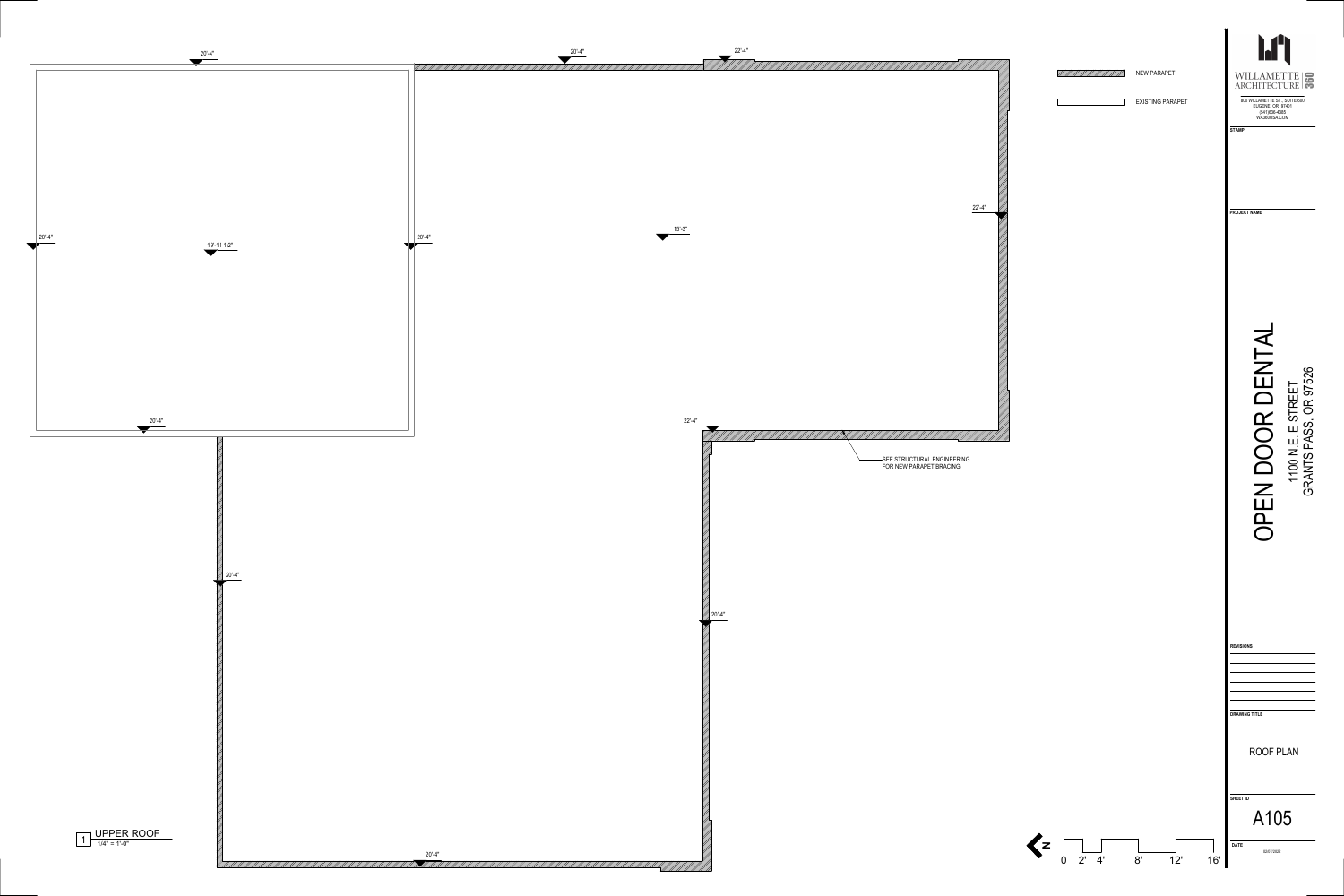NEW PARAPET



OPEN DOOR DENTAL DENTAI 1100 N.E. E STREET<br>GRANTS PASS, OR 97526 1100 N.E. E STREET OPEN DOOR



EXISTING PARAPET







GRANTS PASS, OR 97526



WA360USA.COM

**STAMP**

**PROJECT NAME**

| <b>REVISIONS</b>     |  |  |
|----------------------|--|--|
|                      |  |  |
|                      |  |  |
|                      |  |  |
|                      |  |  |
|                      |  |  |
|                      |  |  |
|                      |  |  |
| <b>DRAWING TITLE</b> |  |  |
|                      |  |  |
|                      |  |  |
|                      |  |  |

**SHEET ID**

ROOF PLAN

**DATE** 02/07/2022

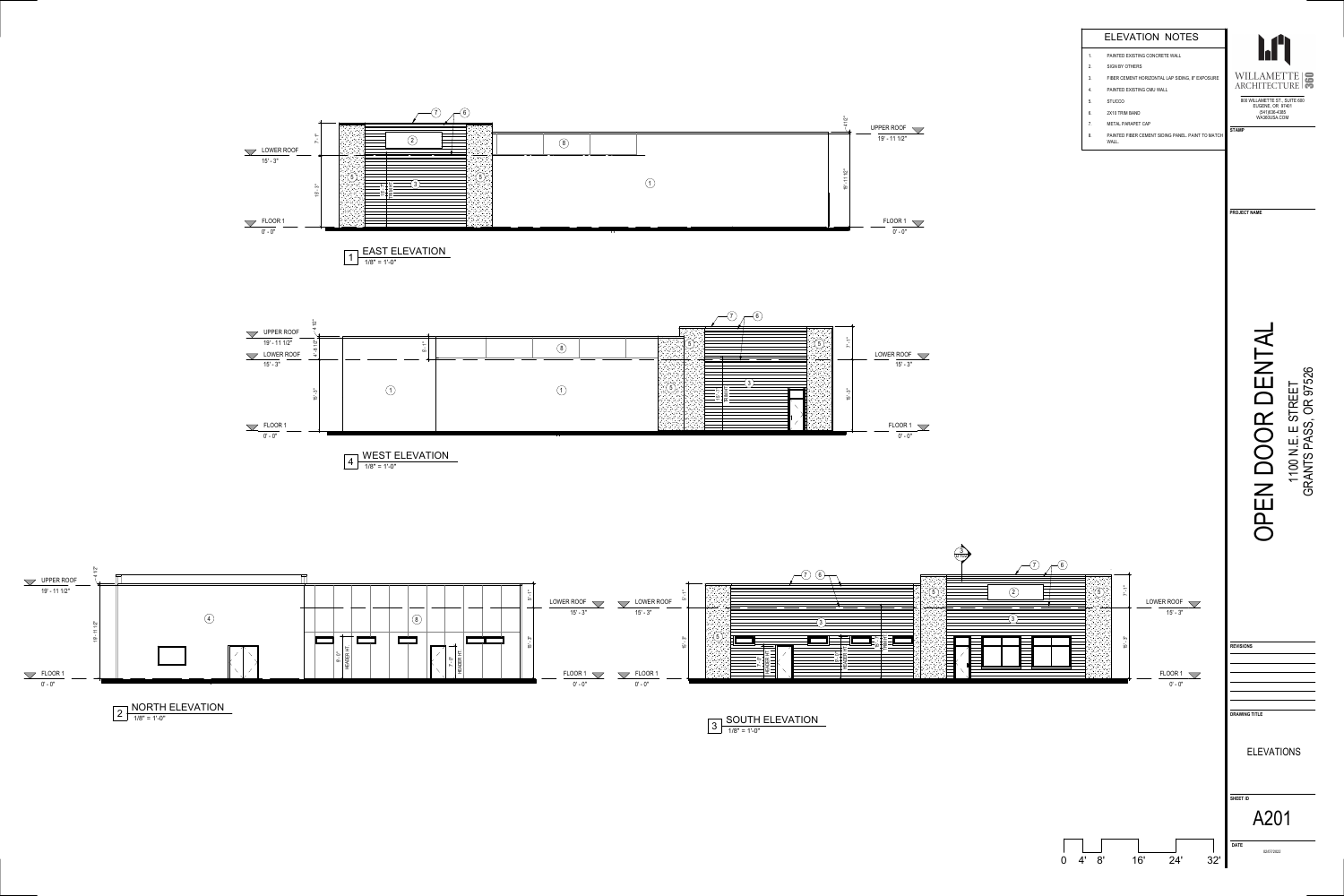

 $\bar{}$ ما 'ო "

3 D102

FLOOR 1

0' - 0"



 $\bigodot$ 







0 4' 8' 16' 24' 32'

OPEN DOOR DENTAL

OPEN DOOR

DENTAL

1100 N.E. E STREET

1100 N.E. E STREET<br>GRANTS PASS, OR 97526

GRANTS PASS, OR 97526

**PROJECT NAME**

**REVISIONS**

**DRAWING TITLE**

**DATE**

# **SHEET ID** ELEVATIONS A201

02/07/2022

1/8" = 1'-0"

WEST ELEVATION

 $4 + 10^{10} + 410^{11}$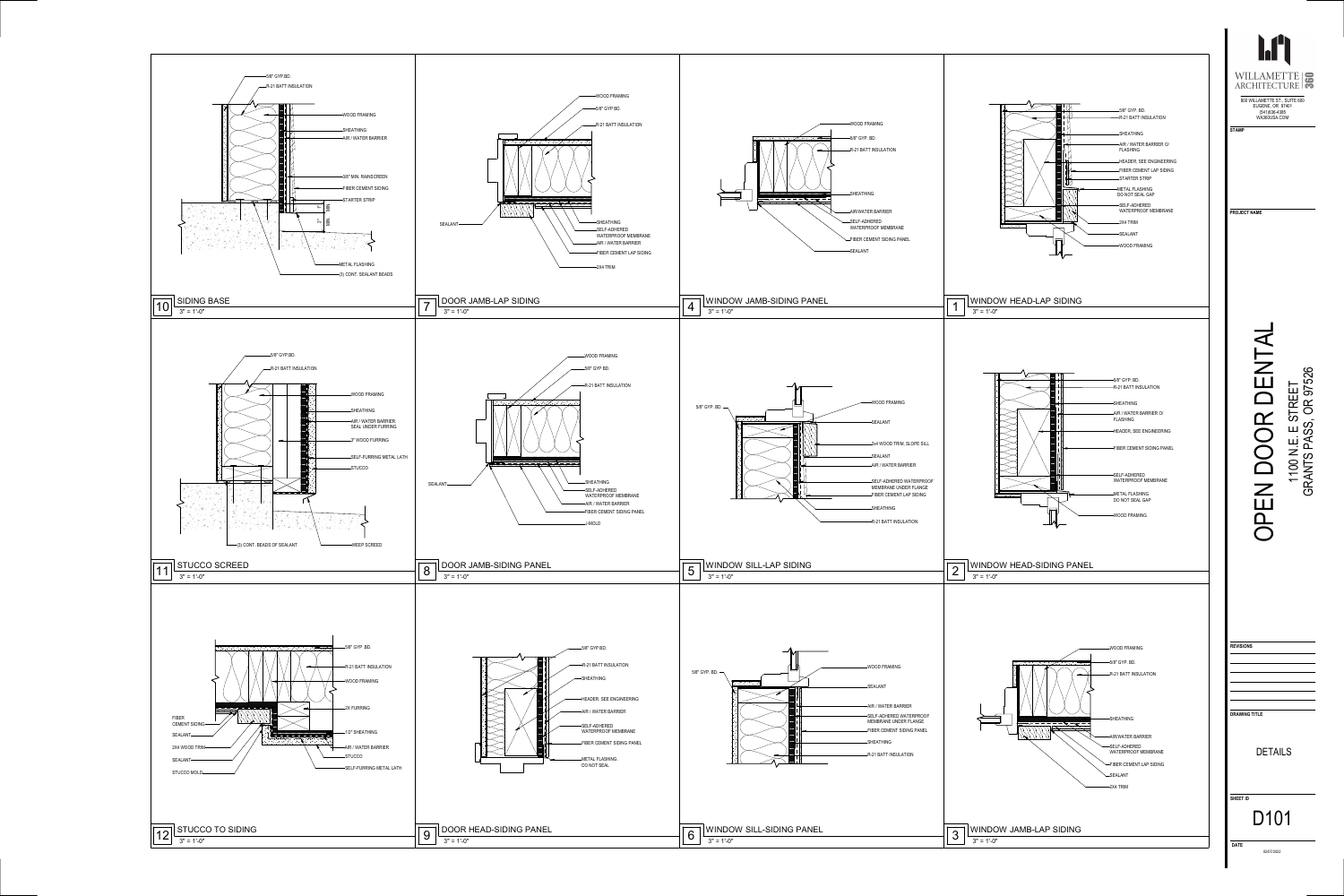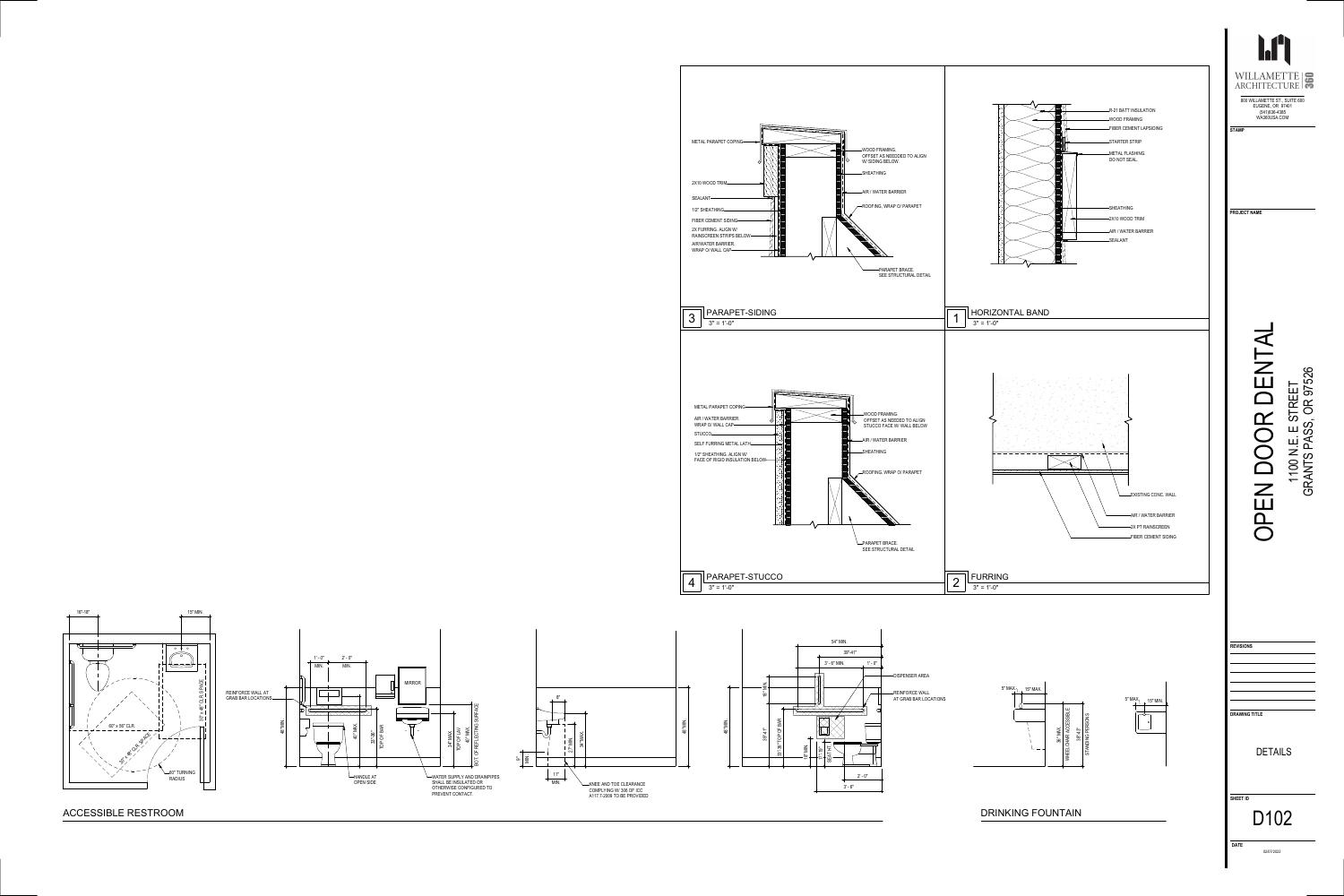

## ACCESSIBLE RESTROOM